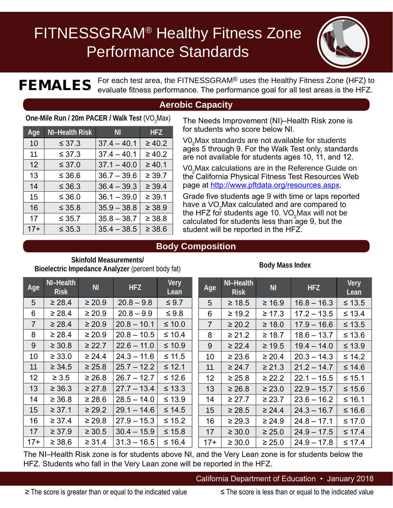

FEMALES For each test area, the FITNESSGRAM® uses the Healthy Fitness Zone (HFZ) to evaluate fitness performance. The performance goal for all test areas is the HFZ.

## **Aerobic Capacity** One-Mile Run / 20m PACER / Walk Test (VO<sub>2</sub>Max)

| Age   | <b>NI-Health Risk</b> | <b>NI</b>     | <b>HFZ</b>  |
|-------|-----------------------|---------------|-------------|
| 10    | $\leq 37.3$           | $37.4 - 40.1$ | $\geq 40.2$ |
| 11    | $\leq 37.3$           | $37.4 - 40.1$ | $\geq 40.2$ |
| 12    | $\leq 37.0$           | $37.1 - 40.0$ | $\geq 40.1$ |
| 13    | $\leq 36.6$           | $36.7 - 39.6$ | $\geq 39.7$ |
| 14    | $\leq 36.3$           | $36.4 - 39.3$ | $\geq 39.4$ |
| 15    | $\leq 36.0$           | $36.1 - 39.0$ | $\geq 39.1$ |
| 16    | $\leq 35.8$           | $35.9 - 38.8$ | $\geq 38.9$ |
| 17    | $\leq$ 35.7           | $35.8 - 38.7$ | $\geq 38.8$ |
| $17+$ | $\leq 35.3$           | $35.4 - 38.5$ | $\geq 38.6$ |

The Needs Improvement (NI)–Health Risk zone is for students who score below NI.

V0<sub>2</sub>Max standards are not available for students ages 5 through 9. For the Walk Test only, standards are not available for students ages 10, 11, and 12.

V0<sub>2</sub>Max calculations are in the Reference Guide on the California Physical Fitness Test Resources Web page at [http://www.pftdata.org/resources.aspx.](http://www.pftdata.org/resources.aspx)

Grade five students age 9 with time or laps reported have a VO<sub>2</sub>Max calculated and are compared to the HFZ for students age 10. VO $_2$ Max will not be calculated for students less than age 9, but the student will be reported in the HFZ.

## **Body Composition**

### **Skinfold Measurements/ Bioelectric Impedance Analyzer** (percent body fat)

### **Body Mass Index**

| Age             | NI-Health<br><b>Risk</b> | <b>NI</b>   | <b>HFZ</b>    | Very<br>Lean | Age            | NI-Health<br><b>Risk</b> | N <sub>1</sub> | <b>HFZ</b>    | Very<br>Lean |
|-----------------|--------------------------|-------------|---------------|--------------|----------------|--------------------------|----------------|---------------|--------------|
| 5               | $\geq 28.4$              | $\geq 20.9$ | $20.8 - 9.8$  | $\leq 9.7$   | $5\phantom{.}$ | $\geq 18.5$              | $\geq 16.9$    | $16.8 - 16.3$ | $\leq 13.5$  |
| 6               | $\geq 28.4$              | $\geq 20.9$ | $20.8 - 9.9$  | $\leq 9.8$   | 6              | $\geq 19.2$              | $\geq 17.3$    | $17.2 - 13.5$ | $\leq 13.4$  |
| $\overline{7}$  | $\geq 28.4$              | $\geq 20.9$ | $20.8 - 10.1$ | $≤ 10.0$     | $\overline{7}$ | $\geq 20.2$              | $\geq 18.0$    | $17.9 - 16.6$ | $\leq 13.5$  |
| 8               | $\geq 28.4$              | $\geq 20.9$ | $20.8 - 10.5$ | $\leq 10.4$  | 8              | $\geq 21.2$              | $\geq 18.7$    | $18.6 - 13.7$ | $\leq 13.6$  |
| 9               | $\geq 30.8$              | $\geq 22.7$ | $22.6 - 11.0$ | $≤ 10.9$     | 9              | $\geq 22.4$              | $\geq 19.5$    | $19.4 - 14.0$ | $\leq 13.9$  |
| 10              | $\geq 33.0$              | $\geq 24.4$ | $24.3 - 11.6$ | $≤ 11.5$     | 10             | $\geq 23.6$              | $\geq 20.4$    | $20.3 - 14.3$ | $\leq 14.2$  |
| 11              | $\geq 34.5$              | $\geq 25.8$ | $25.7 - 12.2$ | $\leq 12.1$  | 11             | $\geq 24.7$              | $\geq 21.3$    | $21.2 - 14.7$ | $≤ 14.6$     |
| 12 <sub>2</sub> | $\geq 3.5$               | $\geq 26.8$ | $26.7 - 12.7$ | $≤ 12.6$     | 12             | $\geq 25.8$              | $\geq 22.2$    | $22.1 - 15.5$ | $≤ 15.1$     |
| 13              | $\geq 36.3$              | $\geq 27.8$ | $27.7 - 13.4$ | $\leq 13.3$  | 13             | $\geq 26.8$              | $\geq 23.0$    | $22.9 - 15.7$ | $≤ 15.6$     |
| 14              | $\geq 36.8$              | $\geq 28.6$ | $28.5 - 14.0$ | $\leq 13.9$  | 14             | $\geq 27.7$              | $\geq 23.7$    | $23.6 - 16.2$ | $≤ 16.1$     |
| 15              | $\geq 37.1$              | $\geq 29.2$ | $29.1 - 14.6$ | $\leq 14.5$  | 15             | $\geq 28.5$              | $\geq 24.4$    | $24.3 - 16.7$ | $≤ 16.6$     |
| 16              | $\geq 37.4$              | $\geq 29.8$ | $27.9 - 15.3$ | $≤ 15.2$     | 16             | $\geq 29.3$              | $\geq 24.9$    | $24.8 - 17.1$ | $≤ 17.0$     |
| 17              | $\geq 37.9$              | $\geq 30.5$ | $30.4 - 15.9$ | $≤ 15.8$     | 17             | $\geq 30.0$              | $\geq 25.0$    | $24.9 - 17.5$ | $\leq$ 17.4  |
| $17+$           | $\geq 38.6$              | $\geq 31.4$ | $31.3 - 16.5$ | $≤ 16.4$     | $17+$          | $\geq 30.0$              | $\geq 25.0$    | $24.9 - 17.8$ | $\leq 17.4$  |

The NI–Health Risk zone is for students above NI, and the Very Lean zone is for students below the HFZ. Students who fall in the Very Lean zone will be reported in the HFZ.

## California Department of Education • January 2018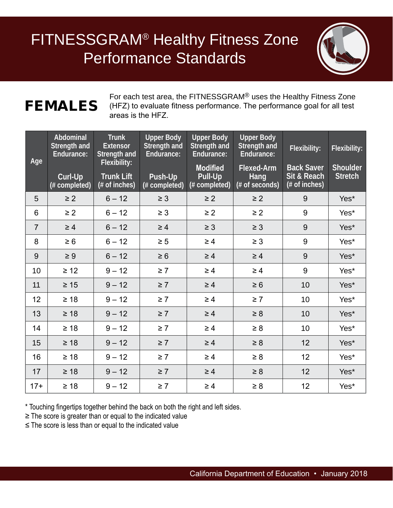# FEMALES

For each test area, the FITNESSGRAM® uses the Healthy Fitness Zone (HFZ) to evaluate fitness performance. The performance goal for all test areas is the HFZ.

| Age            | Abdominal<br>Strength and<br>Endurance: | <b>Trunk</b><br><b>Extensor</b><br>Strength and     | <b>Upper Body</b><br>Strength and<br>Endurance: | <b>Upper Body</b><br><b>Strength and</b><br>Endurance: | <b>Upper Body</b><br>Strength and<br>Endurance: | Flexibility:                                                        | Flexibility:                      |
|----------------|-----------------------------------------|-----------------------------------------------------|-------------------------------------------------|--------------------------------------------------------|-------------------------------------------------|---------------------------------------------------------------------|-----------------------------------|
|                | Curl-Up<br>(# completed)                | Flexibility:<br><b>Trunk Lift</b><br>$#$ of inches) | Push-Up<br>(# completed)                        | <b>Modified</b><br>Pull-Up<br>(# completed)            | <b>Flexed-Arm</b><br>Hang<br>(# of seconds)     | <b>Back Saver</b><br>Sit & Reach<br>$\frac{4}{\sqrt{1}}$ of inches) | <b>Shoulder</b><br><b>Stretch</b> |
| 5              | $\geq$ 2                                | $6 - 12$                                            | $\geq 3$                                        | $\geq$ 2                                               | $\geq 2$                                        | 9                                                                   | Yes*                              |
| 6              | $\geq$ 2                                | $6 - 12$                                            | $\geq 3$                                        | $\geq$ 2                                               | $\geq 2$                                        | 9                                                                   | Yes*                              |
| $\overline{7}$ | $\geq 4$                                | $6 - 12$                                            | $\geq 4$                                        | $\geq 3$                                               | $\geq 3$                                        | 9                                                                   | Yes*                              |
| 8              | $\geq 6$                                | $6 - 12$                                            | $\geq 5$                                        | $\geq 4$                                               | $\geq 3$                                        | 9                                                                   | Yes*                              |
| 9              | $\geq 9$                                | $6 - 12$                                            | $\geq 6$                                        | $\geq 4$                                               | $\geq 4$                                        | 9                                                                   | Yes*                              |
| 10             | $\geq 12$                               | $9 - 12$                                            | $\geq 7$                                        | $\geq 4$                                               | $\geq 4$                                        | 9                                                                   | Yes*                              |
| 11             | $\geq 15$                               | $9 - 12$                                            | $\geq 7$                                        | $\geq 4$                                               | $\geq 6$                                        | 10                                                                  | Yes*                              |
| 12             | $\geq 18$                               | $9 - 12$                                            | $\geq 7$                                        | $\geq 4$                                               | $\geq 7$                                        | 10                                                                  | Yes*                              |
| 13             | $\geq 18$                               | $9 - 12$                                            | $\geq 7$                                        | $\geq 4$                                               | $\geq 8$                                        | 10                                                                  | Yes*                              |
| 14             | $\geq 18$                               | $9 - 12$                                            | $\geq 7$                                        | $\geq 4$                                               | $\geq 8$                                        | 10                                                                  | Yes*                              |
| 15             | $\geq 18$                               | $9 - 12$                                            | $\geq 7$                                        | $\geq 4$                                               | $\geq 8$                                        | 12                                                                  | Yes*                              |
| 16             | $\geq 18$                               | $9 - 12$                                            | $\geq 7$                                        | $\geq 4$                                               | $\geq 8$                                        | 12                                                                  | Yes*                              |
| 17             | $\geq 18$                               | $9 - 12$                                            | $\geq 7$                                        | $\geq 4$                                               | $\geq 8$                                        | 12                                                                  | Yes*                              |
| $17+$          | $\geq 18$                               | $9 - 12$                                            | $\geq 7$                                        | $\geq 4$                                               | $\geq 8$                                        | 12                                                                  | Yes*                              |

\* Touching fingertips together behind the back on both the right and left sides.

≥ The score is greater than or equal to the indicated value

≤ The score is less than or equal to the indicated value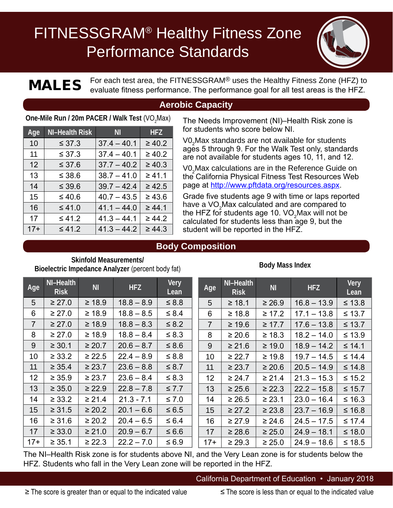

 $\mathbf{MALES}$  For each test area, the FITNESSGRAM® uses the Healthy Fitness Zone (HFZ) to evaluate fitness performance. The performance goal for all test areas is the HFZ.

## One-Mile Run / 20m PACER / Walk Test (VO<sub>2</sub>Max) **Age NI–Health Risk NI HFZ** 10  $|$   $\leq$  37.3  $|$  37.4 – 40.1  $|$   $\geq$  40.2 11  $\leq 37.3$   $\left| 37.4 - 40.1 \right| \geq 40.2$  $12$   $\leq$  37.6  $\vert$  37.7 – 40.2  $\vert$  ≥ 40.3  $13$   $\leq$  38.6  $\vert$  38.7 – 41.0  $\vert$  ≥ 41.1 14  $\vert$  ≤ 39.6  $\vert$  39.7 – 42.4  $\vert$  ≥ 42.5 15  $\vert$  ≤ 40.6  $\vert$  40.7 – 43.5  $\vert$  ≥ 43.6 16  $\vert$  ≤ 41.0  $\vert$  41.1 – 44.0  $\vert$  ≥ 44.1  $17$   $\leq 41.2$   $\left| 41.3 - 44.1 \right| \geq 44.2$  $17+$   $\leq 41.2$   $\left| 41.3 - 44.2 \right| \geq 44.3$

## **Aerobic Capacity**

The Needs Improvement (NI)–Health Risk zone is for students who score below NI.

V0<sub>2</sub>Max standards are not available for students ages 5 through 9. For the Walk Test only, standards are not available for students ages 10, 11, and 12.

V0<sub>2</sub>Max calculations are in the Reference Guide on the California Physical Fitness Test Resources Web page at [http://www.pftdata.org/resources.aspx.](http://www.pftdata.org/resources.aspx)

Grade five students age 9 with time or laps reported have a VO<sub>2</sub>Max calculated and are compared to the HFZ for students age 10. VO $_2$ Max will not be calculated for students less than age 9, but the student will be reported in the HFZ.

## **Body Composition**

**Skinfold Measurements/ Bioelectric Impedance Analyzer** (percent body fat)

### **Body Mass Index**

| Age            | NI-Health<br><b>Risk</b> | <b>NI</b>   | <b>HFZ</b>   | Very<br>Lean | Age            | NI-Health<br><b>Risk</b> | N <sub>l</sub> | <b>HFZ</b>    | Very<br>Lean |
|----------------|--------------------------|-------------|--------------|--------------|----------------|--------------------------|----------------|---------------|--------------|
| 5              | $\geq 27.0$              | $\geq 18.9$ | $18.8 - 8.9$ | $\leq 8.8$   | 5              | $\geq 18.1$              | $\geq 26.9$    | $16.8 - 13.9$ | $\leq 13.8$  |
| 6              | $\geq 27.0$              | $\geq 18.9$ | $18.8 - 8.5$ | $\leq 8.4$   | 6              | $\geq 18.8$              | $\geq 17.2$    | $17.1 - 13.8$ | $\leq 13.7$  |
| $\overline{7}$ | $\geq 27.0$              | $\geq 18.9$ | $18.8 - 8.3$ | $\leq 8.2$   | $\overline{7}$ | $\geq 19.6$              | $\geq 17.7$    | $17.6 - 13.8$ | $\leq 13.7$  |
| 8              | $\geq 27.0$              | $\geq 18.9$ | $18.8 - 8.4$ | $\leq 8.3$   | 8              | $\geq 20.6$              | $\geq 18.3$    | $18.2 - 14.0$ | $\leq 13.9$  |
| 9              | $\geq 30.1$              | $\geq 20.7$ | $20.6 - 8.7$ | $\leq 8.6$   | 9              | $\geq 21.6$              | $\geq 19.0$    | $18.9 - 14.2$ | $\leq$ 14.1  |
| 10             | $\geq 33.2$              | $\geq 22.5$ | $22.4 - 8.9$ | $\leq 8.8$   | 10             | $\geq 22.7$              | $\geq 19.8$    | $19.7 - 14.5$ | $\leq 14.4$  |
| 11             | $\geq 35.4$              | $\geq 23.7$ | $23.6 - 8.8$ | $\leq 8.7$   | 11             | $\geq 23.7$              | $\geq 20.6$    | $20.5 - 14.9$ | $≤ 14.8$     |
| 12             | $\geq 35.9$              | $\geq 23.7$ | $23.6 - 8.4$ | $\leq 8.3$   | 12             | $\geq 24.7$              | $\geq 21.4$    | $21.3 - 15.3$ | $\leq 15.2$  |
| 13             | $\geq 35.0$              | $\geq 22.9$ | $22.8 - 7.8$ | $\leq 7.7$   | 13             | $\geq 25.6$              | $\geq 22.3$    | $22.2 - 15.8$ | $≤ 15.7$     |
| 14             | $\geq 33.2$              | $\geq 21.4$ | $21.3 - 7.1$ | $\leq 7.0$   | 14             | $\geq 26.5$              | $\geq 23.1$    | $23.0 - 16.4$ | $≤ 16.3$     |
| 15             | $\geq 31.5$              | $\geq 20.2$ | $20.1 - 6.6$ | $\leq 6.5$   | 15             | $\geq 27.2$              | $\geq 23.8$    | $23.7 - 16.9$ | $≤ 16.8$     |
| 16             | $\geq 31.6$              | $\geq 20.2$ | $20.4 - 6.5$ | $\leq 6.4$   | 16             | $\geq 27.9$              | $\geq 24.6$    | $24.5 - 17.5$ | $\leq$ 17.4  |
| 17             | $\geq 33.0$              | $\geq 21.0$ | $20.9 - 6.7$ | $\leq 6.6$   | 17             | $\geq 28.6$              | $\geq 25.0$    | $24.9 - 18.1$ | $≤ 18.0$     |
| $17+$          | $\geq 35.1$              | $\geq 22.3$ | $22.2 - 7.0$ | $\leq 6.9$   | $17+$          | $\geq 29.3$              | $\geq 25.0$    | $24.9 - 18.6$ | $≤ 18.5$     |

The NI–Health Risk zone is for students above NI, and the Very Lean zone is for students below the HFZ. Students who fall in the Very Lean zone will be reported in the HFZ.

## California Department of Education • January 2018

≥ The score is greater than or equal to the indicated value ≤ The score is less than or equal to the indicated value